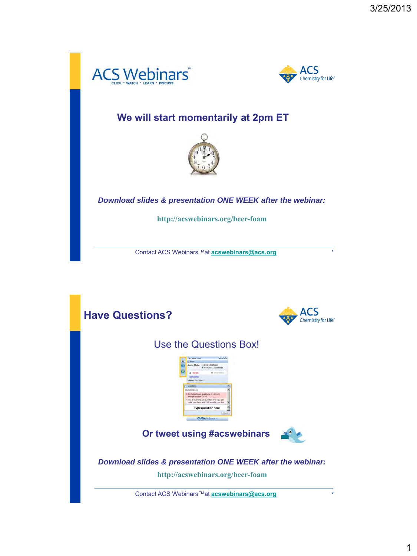



**1**

### **We will start momentarily at 2pm ET**



*Download slides & presentation ONE WEEK after the webinar:*

**http://acswebinars.org/beer-foam**

Contact ACS Webinars™at **[acswebinars@acs.org](mailto:acswebinars@acs.org)**

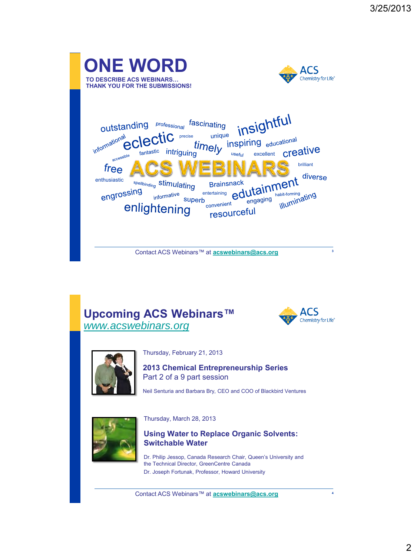

### **Upcoming ACS Webinars™** *[www.acswebinars.org](http://www.acswebinars.org/)*





Thursday, February 21, 2013



Neil Senturia and Barbara Bry, CEO and COO of Blackbird Ventures



Thursday, March 28, 2013



Dr. Philip Jessop, Canada Research Chair, Queen's University and the Technical Director, GreenCentre Canada Dr. Joseph Fortunak, Professor, Howard University

Contact ACS Webinars™ at **[acswebinars@acs.org](mailto:acswebinars@acs.org)**

**4**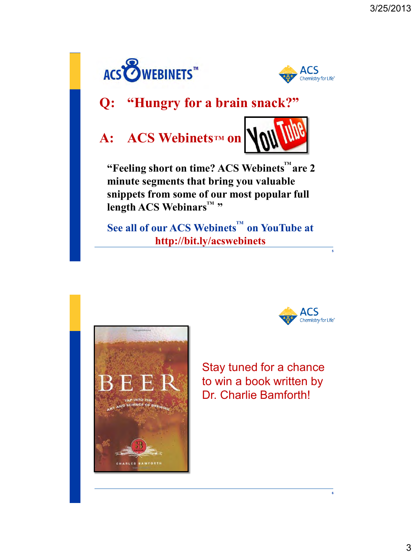



## **Q: "Hungry for a brain snack?"**

# **A:** ACS Webinets<sup>TM</sup> on



"Feeling short on time? ACS Webinets<sup>™</sup>are 2 **minute segments that bring you valuable snippets from some of our most popular full length ACS Webinars™ "** 

See all of our ACS Webinets $\mathbf{w}$  on YouTube at **http://bit.ly/acswebinets**





**5**

**6**

Stay tuned for a chance to win a book written by Dr. Charlie Bamforth!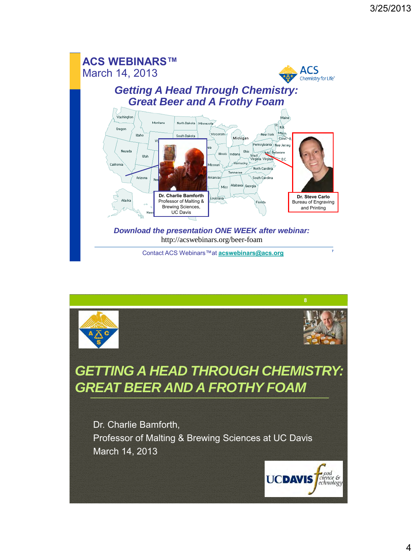

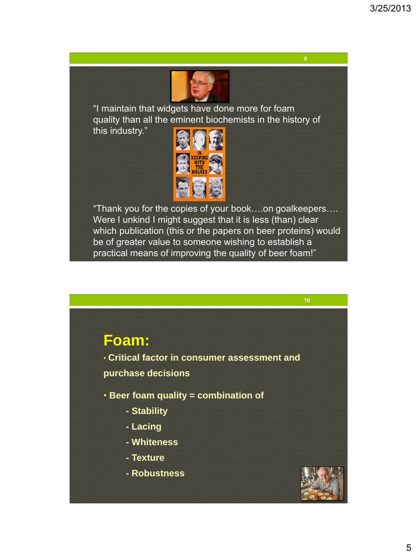

"I maintain that widgets have done more for foam quality than all the eminent biochemists in the history of

this industry."



"Thank you for the copies of your book….on goalkeepers…. Were I unkind I might suggest that it is less (than) clear which publication (this or the papers on beer proteins) would be of greater value to someone wishing to establish a practical means of improving the quality of beer foam!"



• **Critical factor in consumer assessment and purchase decisions**

• **Beer foam quality = combination of**

- **- Stability**
- **- Lacing**
- **- Whiteness**
- **- Texture**
- **- Robustness**

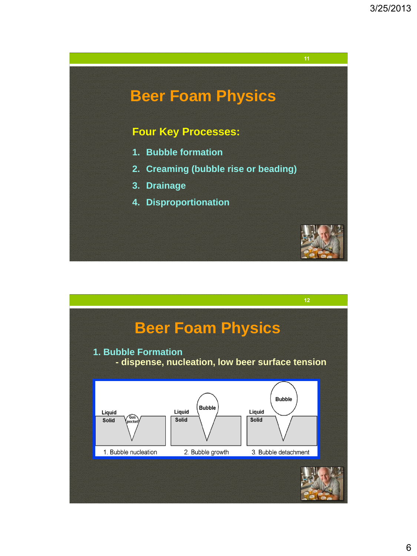

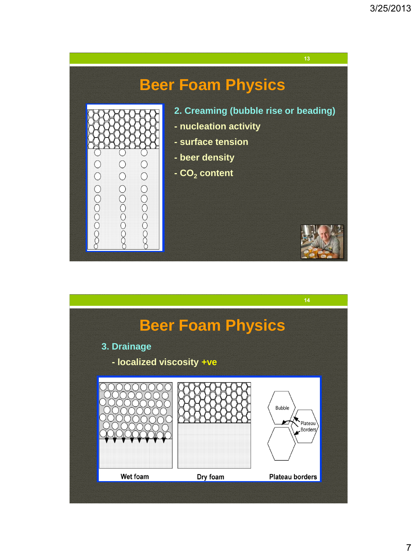# **Beer Foam Physics**

- **2. Creaming (bubble rise or beading)**
- **- nucleation activity**
- **- surface tension**
- **- beer density**
- **- CO<sup>2</sup> content**

0000000000

000000000

0000000000



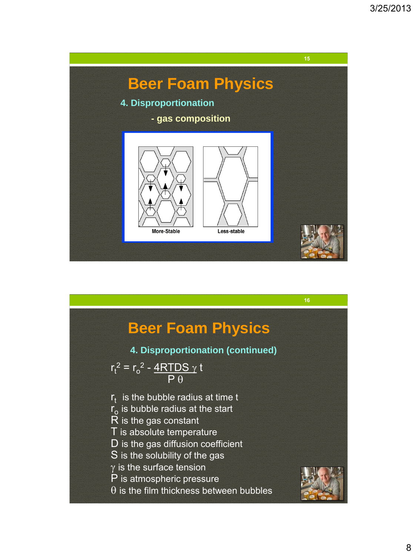

|                                                   | 16 |
|---------------------------------------------------|----|
|                                                   |    |
| <b>Beer Foam Physics</b>                          |    |
| 4. Disproportionation (continued)                 |    |
| $r_t^2 = r_o^2 - \frac{4RTDS \gamma t}{P \theta}$ |    |
| $r_t$ is the bubble radius at time t              |    |
| $r_{0}$ is bubble radius at the start             |    |
| R is the gas constant                             |    |
| T is absolute temperature                         |    |
| D is the gas diffusion coefficient                |    |
| S is the solubility of the gas                    |    |
| $\gamma$ is the surface tension                   |    |
| P is atmospheric pressure                         |    |
| $\theta$ is the film thickness between bubbles    |    |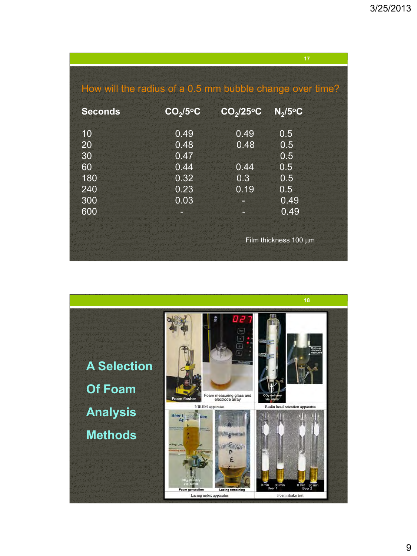|                                                          |                      |                       | 17                         |
|----------------------------------------------------------|----------------------|-----------------------|----------------------------|
| How will the radius of a 0.5 mm bubble change over time? |                      |                       |                            |
| <b>Seconds</b>                                           | CO <sub>2</sub> /5°C | CO <sub>2</sub> /25°C | $N_2/5$ <sup>o</sup> C     |
| 10                                                       | 0.49                 | 0.49                  | 0.5                        |
| 20                                                       | 0.48                 | 0.48                  | 0.5                        |
| 30                                                       | 0.47                 |                       | 0.5                        |
| 60                                                       | 0.44                 | 0.44                  | 0.5                        |
| 180                                                      | 0.32                 | 0.3                   | 0.5                        |
| 240                                                      | 0.23                 | 0.19                  | 0.5                        |
| 300                                                      | 0.03                 |                       | 0.49                       |
| 600                                                      |                      |                       | 0.49                       |
|                                                          |                      |                       |                            |
|                                                          |                      |                       | Film thickness $100 \mu m$ |

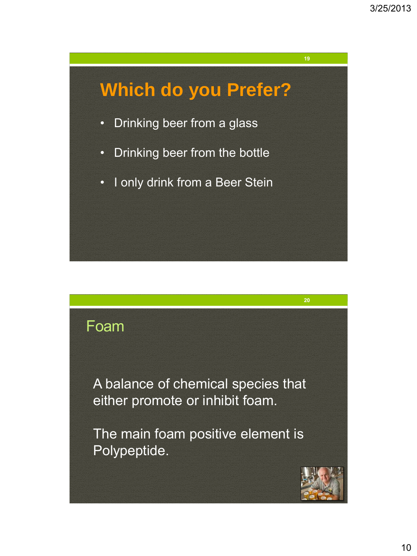# **Which do you Prefer?** • Drinking beer from a glass • Drinking beer from the bottle • I only drink from a Beer Stein

## Foam

A balance of chemical species that either promote or inhibit foam.

The main foam positive element is Polypeptide.

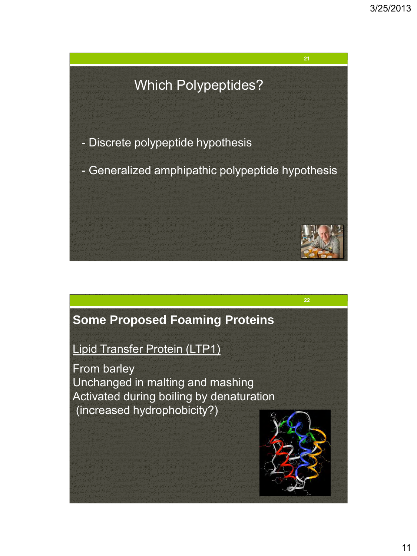# - Discrete polypeptide hypothesis - Generalized amphipathic polypeptide hypothesis Which Polypeptides?



Lipid Transfer Protein (LTP1)

From barley Unchanged in malting and mashing Activated during boiling by denaturation (increased hydrophobicity?)

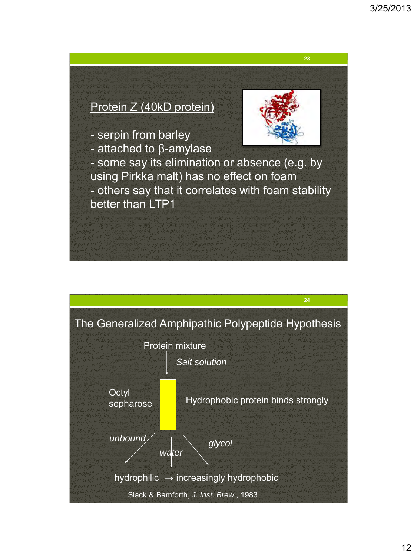# Protein Z (40kD protein) - serpin from barley - attached to β-amylase - some say its elimination or absence (e.g. by using Pirkka malt) has no effect on foam - others say that it correlates with foam stability better than LTP1

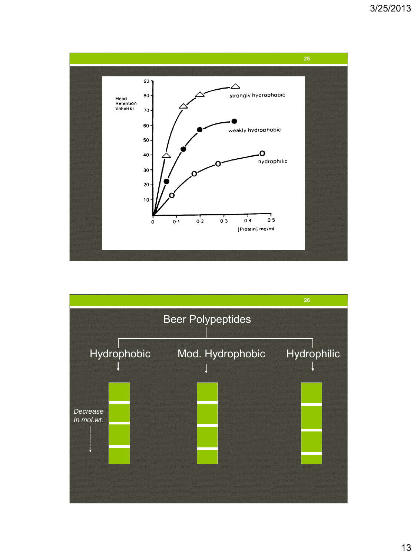

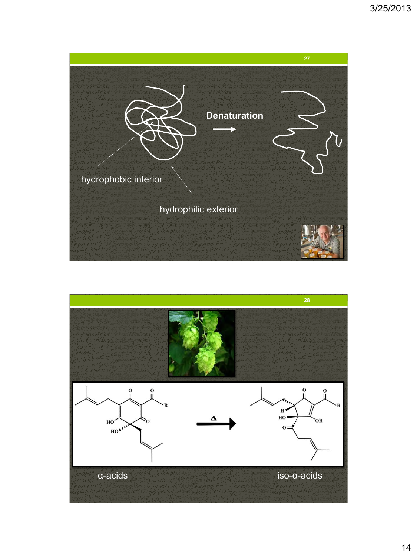

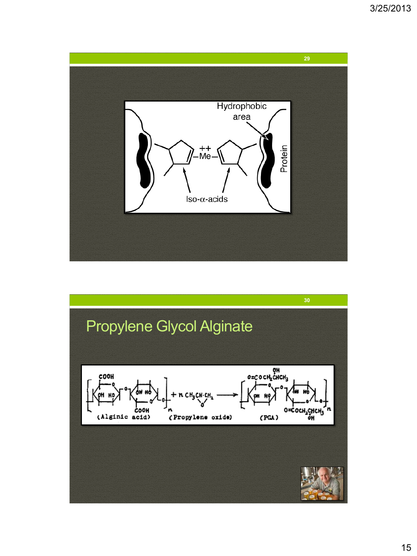

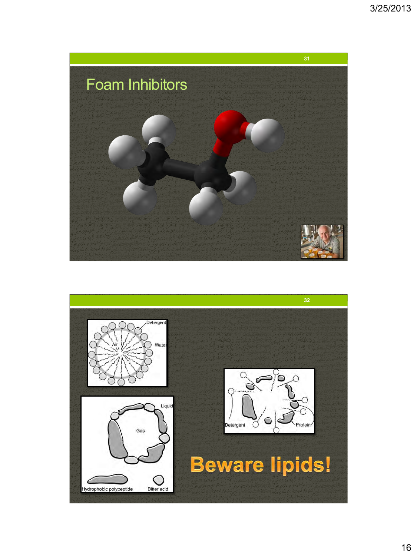

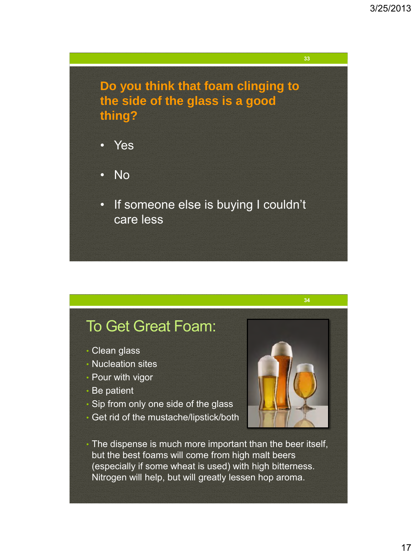**Do you think that foam clinging to the side of the glass is a good thing?**

- Yes
- No
- If someone else is buying I couldn't care less

# To Get Great Foam:

- Clean glass
- Nucleation sites
- Pour with vigor
- Be patient
- Sip from only one side of the glass
- Get rid of the mustache/lipstick/both



• The dispense is much more important than the beer itself, but the best foams will come from high malt beers (especially if some wheat is used) with high bitterness. Nitrogen will help, but will greatly lessen hop aroma.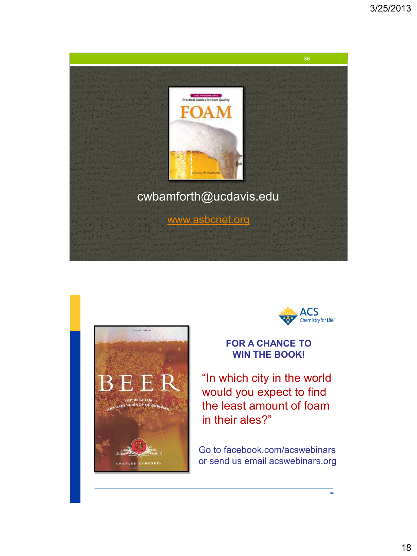





**36**

**FOR A CHANCE TO WIN THE BOOK!**

"In which city in the world would you expect to find the least amount of foam in their ales?"

Go to facebook.com/acswebinars or send us email acswebinars.org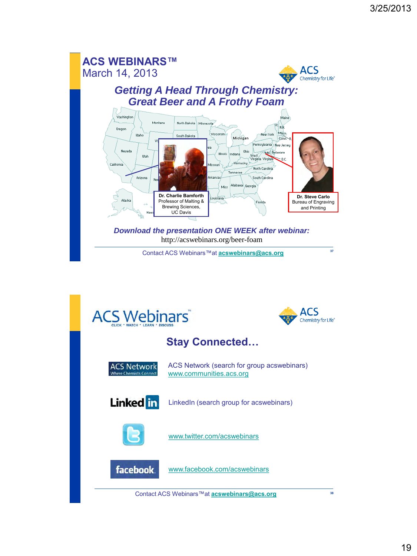

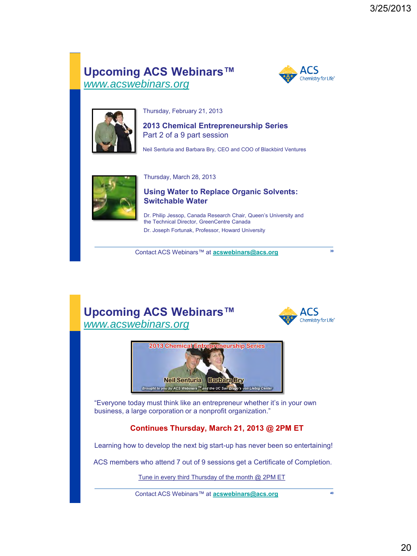### **Upcoming ACS Webinars™** *[www.acswebinars.org](http://www.acswebinars.org/)*





Thursday, February 21, 2013

**2013 Chemical Entrepreneurship Series** Part 2 of a 9 part session

Neil Senturia and Barbara Bry, CEO and COO of Blackbird Ventures



Thursday, March 28, 2013

**Using Water to Replace Organic Solvents: Switchable Water**

Dr. Philip Jessop, Canada Research Chair, Queen's University and the Technical Director, GreenCentre Canada Dr. Joseph Fortunak, Professor, Howard University

Contact ACS Webinars™ at **[acswebinars@acs.org](mailto:acswebinars@acs.org)**

### **Upcoming ACS Webinars™** *[www.acswebinars.org](http://www.acswebinars.org/)*



**39**



"Everyone today must think like an entrepreneur whether it's in your own business, a large corporation or a nonprofit organization."

#### **Continues Thursday, March 21, 2013 @ 2PM ET**

Learning how to develop the next big start-up has never been so entertaining!

ACS members who attend 7 out of 9 sessions get a Certificate of Completion.

Tune in every third Thursday of the month @ 2PM ET

Contact ACS Webinars™ at **[acswebinars@acs.org](mailto:acswebinars@acs.org) <sup>40</sup>**